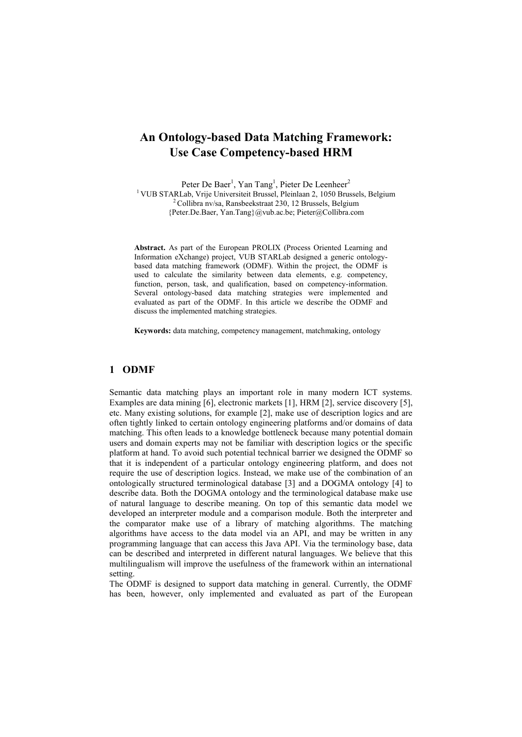## **An Ontology-based Data Matching Framework: Use Case Competency-based HRM**

Peter De Baer<sup>1</sup>, Yan Tang<sup>1</sup>, Pieter De Leenheer<sup>2</sup> <sup>1</sup> VUB STARLab, Vrije Universiteit Brussel, Pleinlaan 2, 1050 Brussels, Belgium <sup>2</sup> Collibra nv/sa, Ransbeekstraat 230, 12 Brussels, Belgium {Peter.De.Baer, Yan.Tang}@vub.ac.be; Pieter@Collibra.com

**Abstract.** As part of the European PROLIX (Process Oriented Learning and Information eXchange) project, VUB STARLab designed a generic ontologybased data matching framework (ODMF). Within the project, the ODMF is used to calculate the similarity between data elements, e.g. competency, function, person, task, and qualification, based on competency-information. Several ontology-based data matching strategies were implemented and evaluated as part of the ODMF. In this article we describe the ODMF and discuss the implemented matching strategies.

**Keywords:** data matching, competency management, matchmaking, ontology

## **1 ODMF**

Semantic data matching plays an important role in many modern ICT systems. Examples are data mining [6], electronic markets [1], HRM [2], service discovery [5], etc. Many existing solutions, for example [2], make use of description logics and are often tightly linked to certain ontology engineering platforms and/or domains of data matching. This often leads to a knowledge bottleneck because many potential domain users and domain experts may not be familiar with description logics or the specific platform at hand. To avoid such potential technical barrier we designed the ODMF so that it is independent of a particular ontology engineering platform, and does not require the use of description logics. Instead, we make use of the combination of an ontologically structured terminological database [3] and a DOGMA ontology [4] to describe data. Both the DOGMA ontology and the terminological database make use of natural language to describe meaning. On top of this semantic data model we developed an interpreter module and a comparison module. Both the interpreter and the comparator make use of a library of matching algorithms. The matching algorithms have access to the data model via an API, and may be written in any programming language that can access this Java API. Via the terminology base, data can be described and interpreted in different natural languages. We believe that this multilingualism will improve the usefulness of the framework within an international setting.

The ODMF is designed to support data matching in general. Currently, the ODMF has been, however, only implemented and evaluated as part of the European